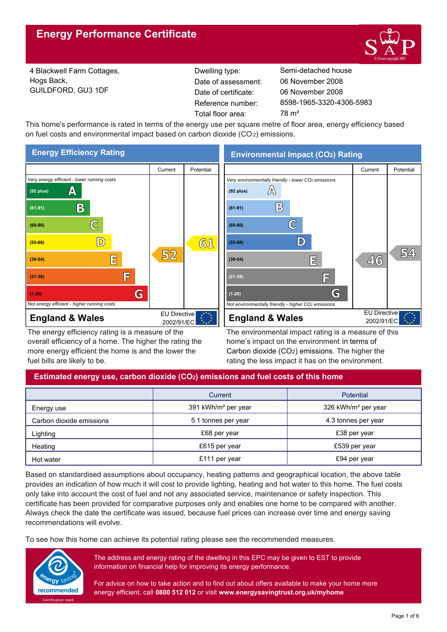

4 Blackwell Farm Cottages, Hogs Back, GUILDFORD, GU3 1DF

Reference number: Date of certificate: Total floor area: 78 m<sup>2</sup> Date of assessment:

Dwelling type: Semi-detached house 8598-1965-3320-4306-5983 06 November 2008 06 November 2008

This home's performance is rated in terms of the energy use per square metre of floor area, energy efficiency based on fuel costs and environmental impact based on carbon dioxide (CO2) emissions.



The energy efficiency rating is a measure of the overall efficiency of a home. The higher the rating the more energy efficient the home is and the lower the fuel bills are likely to be.

**Environmental Impact (CO2) Rating**



The environmental impact rating is a measure of this home's impact on the environment in terms of Carbon dioxide (CO2) emissions. The higher the rating the less impact it has on the environment.

# **Estimated energy use, carbon dioxide (CO2) emissions and fuel costs of this home**

|                          | Current                         | <b>Potential</b>                |  |
|--------------------------|---------------------------------|---------------------------------|--|
| Energy use               | 391 kWh/m <sup>2</sup> per year | 326 kWh/m <sup>2</sup> per year |  |
| Carbon dioxide emissions | 5.1 tonnes per year             | 4.3 tonnes per year             |  |
| Lighting                 | £68 per year                    | £38 per year                    |  |
| Heating                  | £615 per year                   | £539 per year                   |  |
| Hot water                | £111 per year                   | £94 per year                    |  |

Based on standardised assumptions about occupancy, heating patterns and geographical location, the above table provides an indication of how much it will cost to provide lighting, heating and hot water to this home. The fuel costs only take into account the cost of fuel and not any associated service, maintenance or safety inspection. This certificate has been provided for comparative purposes only and enables one home to be compared with another. Always check the date the certificate was issued, because fuel prices can increase over time and energy saving recommendations will evolve.

To see how this home can achieve its potential rating please see the recommended measures.



The address and energy rating of the dwelling in this EPC may be given to EST to provide information on financial help for improving its energy performance.

For advice on how to take action and to find out about offers available to make your home more energy efficient, call **0800 512 012** or visit **www.energysavingtrust.org.uk/myhome**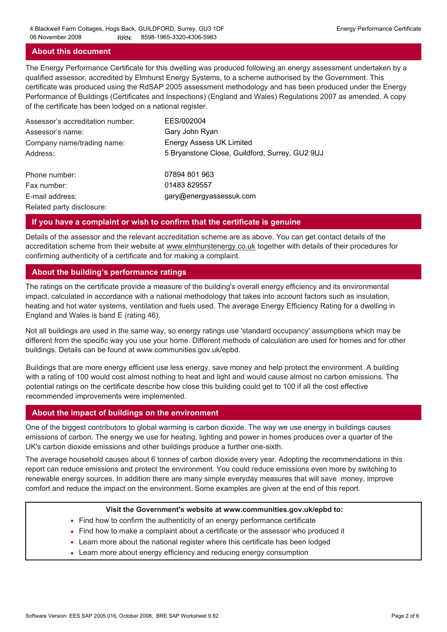## **About this document**

The Energy Performance Certificate for this dwelling was produced following an energy assessment undertaken by a qualified assessor, accredited by Elmhurst Energy Systems, to a scheme authorised by the Government. This certificate was produced using the RdSAP 2005 assessment methodology and has been produced under the Energy Performance of Buildings (Certificates and Inspections) (England and Wales) Regulations 2007 as amended. A copy of the certificate has been lodged on a national register.

| Assessor's accreditation number: | EES/002004                                     |
|----------------------------------|------------------------------------------------|
| Assessor's name:                 | Gary John Ryan                                 |
| Company name/trading name:       | <b>Energy Assess UK Limited</b>                |
| Address:                         | 5 Bryanstone Close, Guildford, Surrey, GU2 9UJ |
| Phone number:                    | 07894 801 963                                  |
| Fax number:                      | 01483 829557                                   |
| E-mail address:                  | gary@energyassessuk.com                        |
| Related party disclosure:        |                                                |

## **If you have a complaint or wish to confirm that the certificate is genuine**

Details of the assessor and the relevant accreditation scheme are as above. You can get contact details of the accreditation scheme from their website at www.elmhurstenergy.co.uk together with details of their procedures for confirming authenticity of a certificate and for making a complaint.

## **About the building's performance ratings**

The ratings on the certificate provide a measure of the building's overall energy efficiency and its environmental impact, calculated in accordance with a national methodology that takes into account factors such as insulation, heating and hot water systems, ventilation and fuels used. The average Energy Efficiency Rating for a dwelling in England and Wales is band E (rating 46).

Not all buildings are used in the same way, so energy ratings use 'standard occupancy' assumptions which may be different from the specific way you use your home. Different methods of calculation are used for homes and for other buildings. Details can be found at www.communities.gov.uk/epbd.

Buildings that are more energy efficient use less energy, save money and help protect the environment. A building with a rating of 100 would cost almost nothing to heat and light and would cause almost no carbon emissions. The potential ratings on the certificate describe how close this building could get to 100 if all the cost effective recommended improvements were implemented.

#### **About the impact of buildings on the environment**

One of the biggest contributors to global warming is carbon dioxide. The way we use energy in buildings causes emissions of carbon. The energy we use for heating, lighting and power in homes produces over a quarter of the UK's carbon dioxide emissions and other buildings produce a further one-sixth.

The average household causes about 6 tonnes of carbon dioxide every year. Adopting the recommendations in this report can reduce emissions and protect the environment. You could reduce emissions even more by switching to renewable energy sources. In addition there are many simple everyday measures that will save money, improve comfort and reduce the impact on the environment. Some examples are given at the end of this report.

#### **Visit the Government's website at www.communities.gov.uk/epbd to:**

- Find how to confirm the authenticity of an energy performance certificate
- Find how to make a complaint about a certificate or the assessor who produced it •
- Learn more about the national register where this certificate has been lodged •
- Learn more about energy efficiency and reducing energy consumption •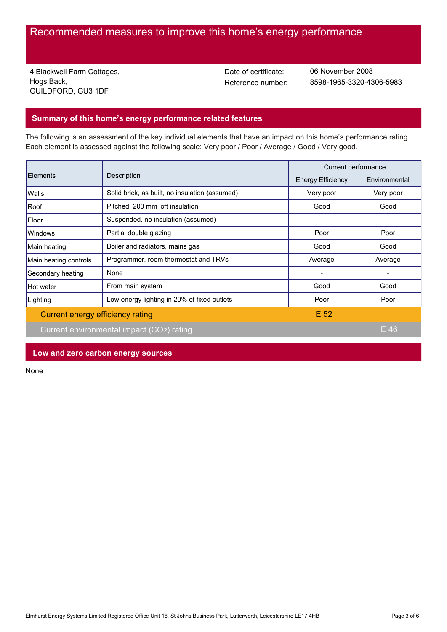# Recommended measures to improve this home's energy performance

4 Blackwell Farm Cottages, Hogs Back, GUILDFORD, GU3 1DF

Date of certificate:

Reference number: 8598-1965-3320-4306-5983 06 November 2008

## **Summary of this home's energy performance related features**

The following is an assessment of the key individual elements that have an impact on this home's performance rating. Each element is assessed against the following scale: Very poor / Poor / Average / Good / Very good.

| Elements                                  | Description                                    | Current performance      |               |
|-------------------------------------------|------------------------------------------------|--------------------------|---------------|
|                                           |                                                | <b>Energy Efficiency</b> | Environmental |
| Walls                                     | Solid brick, as built, no insulation (assumed) | Very poor                | Very poor     |
| Roof                                      | Pitched, 200 mm loft insulation                | Good                     | Good          |
| Floor                                     | Suspended, no insulation (assumed)             |                          |               |
| Windows                                   | Partial double glazing                         | Poor                     | Poor          |
| Main heating                              | Boiler and radiators, mains gas                | Good                     | Good          |
| Main heating controls                     | Programmer, room thermostat and TRVs           | Average                  | Average       |
| Secondary heating                         | None                                           |                          |               |
| Hot water                                 | From main system                               | Good                     | Good          |
| Lighting                                  | Low energy lighting in 20% of fixed outlets    | Poor                     | Poor          |
| Current energy efficiency rating          |                                                | E <sub>52</sub>          |               |
| Current environmental impact (CO2) rating |                                                |                          | $E$ 46        |

**Low and zero carbon energy sources**

None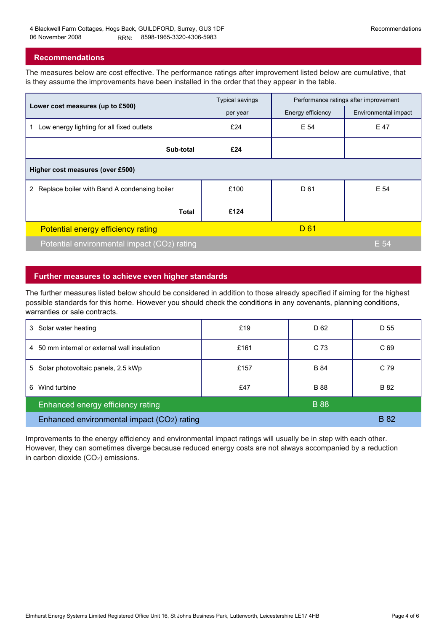## **Recommendations**

The measures below are cost effective. The performance ratings after improvement listed below are cumulative, that is they assume the improvements have been installed in the order that they appear in the table.

|                                                 | <b>Typical savings</b> | Performance ratings after improvement |                      |  |  |  |  |
|-------------------------------------------------|------------------------|---------------------------------------|----------------------|--|--|--|--|
| Lower cost measures (up to £500)                | per year               | Energy efficiency                     | Environmental impact |  |  |  |  |
| Low energy lighting for all fixed outlets<br>1. | £24                    | E 54                                  | E 47                 |  |  |  |  |
| Sub-total                                       | £24                    |                                       |                      |  |  |  |  |
| Higher cost measures (over £500)                |                        |                                       |                      |  |  |  |  |
| 2 Replace boiler with Band A condensing boiler  | £100                   | D 61                                  | E 54                 |  |  |  |  |
| <b>Total</b>                                    | £124                   |                                       |                      |  |  |  |  |
| Potential energy efficiency rating              |                        | D 61                                  |                      |  |  |  |  |
| Potential environmental impact (CO2) rating     |                        |                                       | E 54                 |  |  |  |  |

## **Further measures to achieve even higher standards**

The further measures listed below should be considered in addition to those already specified if aiming for the highest possible standards for this home. However you should check the conditions in any covenants, planning conditions, warranties or sale contracts.

| 3 Solar water heating                            | £19  | D <sub>62</sub> | D 55            |
|--------------------------------------------------|------|-----------------|-----------------|
| 4 50 mm internal or external wall insulation     | £161 | C 73            | C <sub>69</sub> |
| 5 Solar photovoltaic panels, 2.5 kWp             | £157 | <b>B</b> 84     | C 79            |
| Wind turbine<br>6                                | £47  | <b>B</b> 88     | B 82            |
| <b>B</b> 88<br>Enhanced energy efficiency rating |      |                 |                 |
| Enhanced environmental impact (CO2) rating       |      |                 | <b>B</b> 82     |

Improvements to the energy efficiency and environmental impact ratings will usually be in step with each other. However, they can sometimes diverge because reduced energy costs are not always accompanied by a reduction in carbon dioxide (CO2) emissions.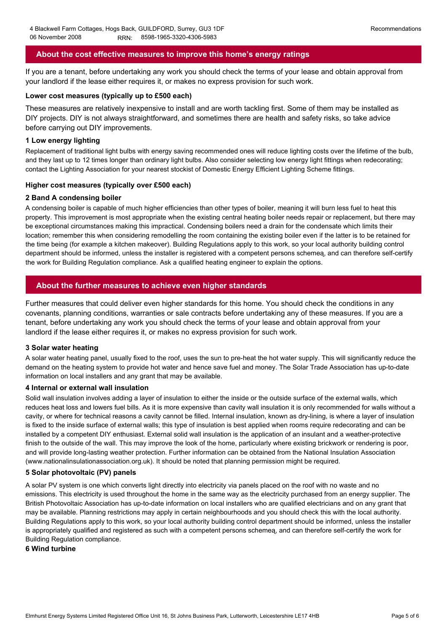## **About the cost effective measures to improve this home's energy ratings**

If you are a tenant, before undertaking any work you should check the terms of your lease and obtain approval from your landlord if the lease either requires it, or makes no express provision for such work.

#### **Lower cost measures (typically up to £500 each)**

These measures are relatively inexpensive to install and are worth tackling first. Some of them may be installed as DIY projects. DIY is not always straightforward, and sometimes there are health and safety risks, so take advice before carrying out DIY improvements.

#### **1 Low energy lighting**

Replacement of traditional light bulbs with energy saving recommended ones will reduce lighting costs over the lifetime of the bulb, and they last up to 12 times longer than ordinary light bulbs. Also consider selecting low energy light fittings when redecorating; contact the Lighting Association for your nearest stockist of Domestic Energy Efficient Lighting Scheme fittings.

#### **Higher cost measures (typically over £500 each)**

#### **2 Band A condensing boiler**

A condensing boiler is capable of much higher efficiencies than other types of boiler, meaning it will burn less fuel to heat this property. This improvement is most appropriate when the existing central heating boiler needs repair or replacement, but there may be exceptional circumstances making this impractical. Condensing boilers need a drain for the condensate which limits their location; remember this when considering remodelling the room containing the existing boiler even if the latter is to be retained for the time being (for example a kitchen makeover). Building Regulations apply to this work, so your local authority building control department should be informed, unless the installer is registered with a competent persons schemeą, and can therefore self-certify the work for Building Regulation compliance. Ask a qualified heating engineer to explain the options.

## **About the further measures to achieve even higher standards**

Further measures that could deliver even higher standards for this home. You should check the conditions in any covenants, planning conditions, warranties or sale contracts before undertaking any of these measures. If you are a tenant, before undertaking any work you should check the terms of your lease and obtain approval from your landlord if the lease either requires it, or makes no express provision for such work.

#### **3 Solar water heating**

A solar water heating panel, usually fixed to the roof, uses the sun to pre-heat the hot water supply. This will significantly reduce the demand on the heating system to provide hot water and hence save fuel and money. The Solar Trade Association has up-to-date information on local installers and any grant that may be available.

#### **4 Internal or external wall insulation**

Solid wall insulation involves adding a layer of insulation to either the inside or the outside surface of the external walls, which reduces heat loss and lowers fuel bills. As it is more expensive than cavity wall insulation it is only recommended for walls without a cavity, or where for technical reasons a cavity cannot be filled. Internal insulation, known as dry-lining, is where a layer of insulation is fixed to the inside surface of external walls; this type of insulation is best applied when rooms require redecorating and can be installed by a competent DIY enthusiast. External solid wall insulation is the application of an insulant and a weather-protective finish to the outside of the wall. This may improve the look of the home, particularly where existing brickwork or rendering is poor, and will provide long-lasting weather protection. Further information can be obtained from the National Insulation Association (www.nationalinsulationassociation.org.uk). It should be noted that planning permission might be required.

#### **5 Solar photovoltaic (PV) panels**

A solar PV system is one which converts light directly into electricity via panels placed on the roof with no waste and no emissions. This electricity is used throughout the home in the same way as the electricity purchased from an energy supplier. The British Photovoltaic Association has up-to-date information on local installers who are qualified electricians and on any grant that may be available. Planning restrictions may apply in certain neighbourhoods and you should check this with the local authority. Building Regulations apply to this work, so your local authority building control department should be informed, unless the installer is appropriately qualified and registered as such with a competent persons schemeą, and can therefore self-certify the work for Building Regulation compliance.

#### **6 Wind turbine**